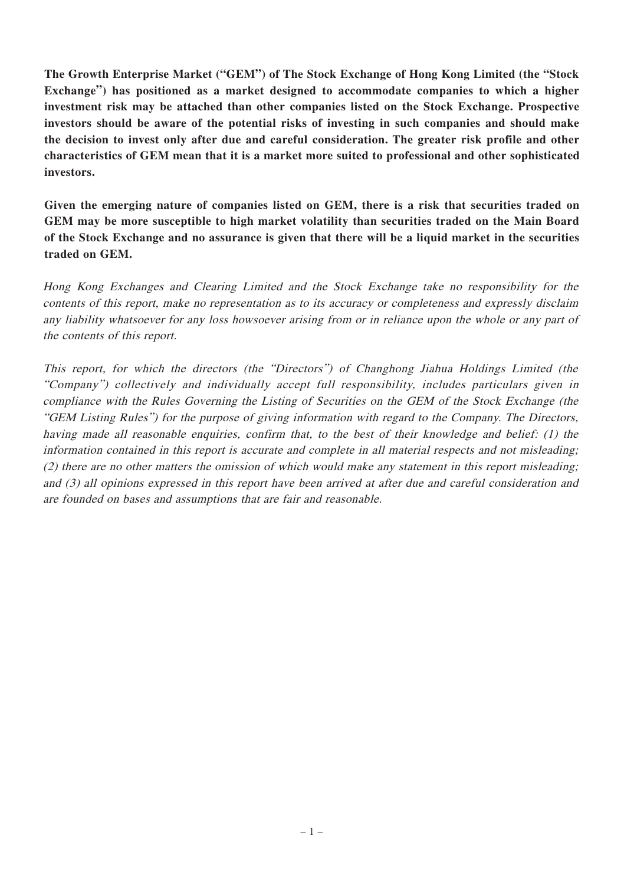**The Growth Enterprise Market ("GEM") of The Stock Exchange of Hong Kong Limited (the "Stock Exchange") has positioned as a market designed to accommodate companies to which a higher investment risk may be attached than other companies listed on the Stock Exchange. Prospective investors should be aware of the potential risks of investing in such companies and should make the decision to invest only after due and careful consideration. The greater risk profile and other characteristics of GEM mean that it is a market more suited to professional and other sophisticated investors.**

**Given the emerging nature of companies listed on GEM, there is a risk that securities traded on GEM may be more susceptible to high market volatility than securities traded on the Main Board** of the Stock Exchange and no assurance is given that there will be a liquid market in the securities **traded on GEM.**

Hong Kong Exchanges and Clearing Limited and the Stock Exchange take no responsibility for the contents of this report, make no representation as to its accuracy or completeness and expressly disclaim any liability whatsoever for any loss howsoever arising from or in reliance upon the whole or any part of the contents of this report.

This report, for which the directors (the "Directors") of Changhong Jiahua Holdings Limited (the "Company") collectively and individually accept full responsibility, includes particulars given in compliance with the Rules Governing the Listing of Securities on the GEM of the Stock Exchange (the "GEM Listing Rules") for the purpose of giving information with regard to the Company. The Directors, having made all reasonable enquiries, confirm that, to the best of their knowledge and belief: (1) the information contained in this report is accurate and complete in all material respects and not misleading; (2) there are no other matters the omission of which would make any statement in this report misleading; and (3) all opinions expressed in this report have been arrived at after due and careful consideration and are founded on bases and assumptions that are fair and reasonable.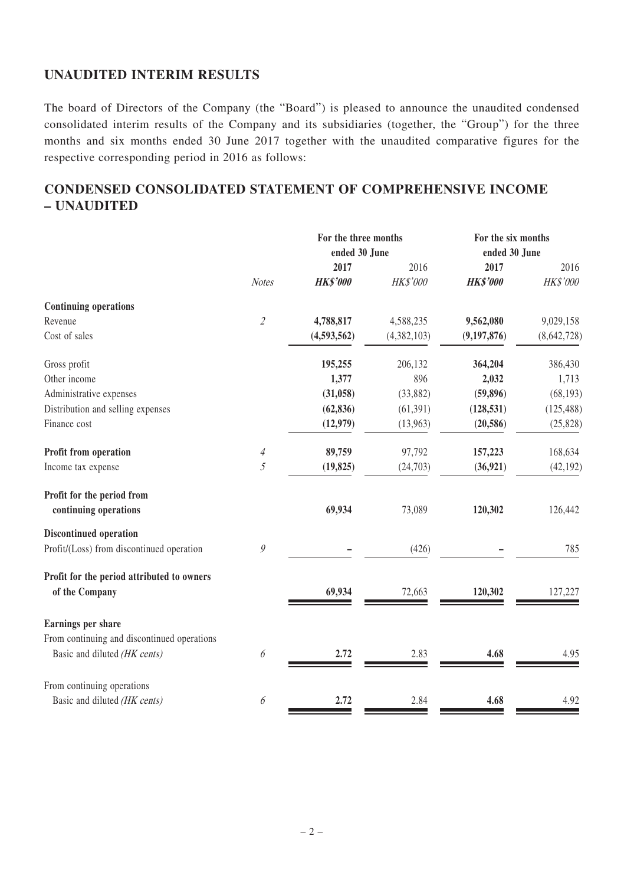# **UNAUDITED INTERIM RESULTS**

The board of Directors of the Company (the "Board") is pleased to announce the unaudited condensed consolidated interim results of the Company and its subsidiaries (together, the "Group") for the three months and six months ended 30 June 2017 together with the unaudited comparative figures for the respective corresponding period in 2016 as follows:

# **CONDENSED CONSOLIDATED STATEMENT OF COMPREHENSIVE INCOME – UNAUDITED**

|                                                                             |                             |                 | For the three months |                 | For the six months |  |
|-----------------------------------------------------------------------------|-----------------------------|-----------------|----------------------|-----------------|--------------------|--|
|                                                                             |                             | ended 30 June   |                      | ended 30 June   |                    |  |
|                                                                             |                             | 2017            | 2016                 | 2017            | 2016               |  |
|                                                                             | <b>Notes</b>                | <b>HK\$'000</b> | HK\$'000             | <b>HK\$'000</b> | HK\$'000           |  |
| <b>Continuing operations</b>                                                |                             |                 |                      |                 |                    |  |
| Revenue                                                                     | $\mathcal{L}_{\mathcal{L}}$ | 4,788,817       | 4,588,235            | 9,562,080       | 9,029,158          |  |
| Cost of sales                                                               |                             | (4,593,562)     | (4,382,103)          | (9, 197, 876)   | (8,642,728)        |  |
| Gross profit                                                                |                             | 195,255         | 206,132              | 364,204         | 386,430            |  |
| Other income                                                                |                             | 1,377           | 896                  | 2,032           | 1,713              |  |
| Administrative expenses                                                     |                             | (31, 058)       | (33,882)             | (59, 896)       | (68, 193)          |  |
| Distribution and selling expenses                                           |                             | (62, 836)       | (61, 391)            | (128, 531)      | (125, 488)         |  |
| Finance cost                                                                |                             | (12,979)        | (13,963)             | (20, 586)       | (25, 828)          |  |
| Profit from operation                                                       | $\overline{4}$              | 89,759          | 97,792               | 157,223         | 168,634            |  |
| Income tax expense                                                          | 5                           | (19, 825)       | (24,703)             | (36, 921)       | (42, 192)          |  |
| Profit for the period from<br>continuing operations                         |                             | 69,934          | 73,089               | 120,302         | 126,442            |  |
| <b>Discontinued operation</b>                                               |                             |                 |                      |                 |                    |  |
| Profit/(Loss) from discontinued operation                                   | 9                           |                 | (426)                |                 | 785                |  |
| Profit for the period attributed to owners<br>of the Company                |                             | 69,934          | 72,663               | 120,302         | 127,227            |  |
| Earnings per share                                                          |                             |                 |                      |                 |                    |  |
| From continuing and discontinued operations<br>Basic and diluted (HK cents) | 6                           | 2.72            | 2.83                 | 4.68            | 4.95               |  |
| From continuing operations                                                  |                             |                 |                      |                 |                    |  |
| Basic and diluted (HK cents)                                                | 6                           | 2.72            | 2.84                 | 4.68            | 4.92               |  |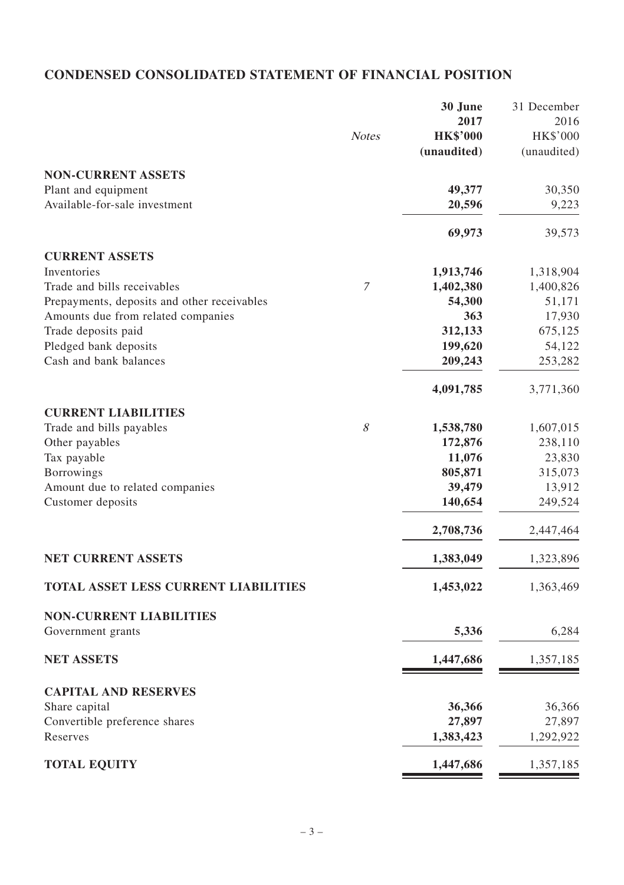# **CONDENSED CONSOLIDATED STATEMENT OF FINANCIAL POSITION**

|                                             |              | 30 June         | 31 December |
|---------------------------------------------|--------------|-----------------|-------------|
|                                             |              | 2017            | 2016        |
|                                             | <b>Notes</b> | <b>HK\$'000</b> | HK\$'000    |
|                                             |              | (unaudited)     | (unaudited) |
|                                             |              |                 |             |
| <b>NON-CURRENT ASSETS</b>                   |              |                 |             |
| Plant and equipment                         |              | 49,377          | 30,350      |
| Available-for-sale investment               |              | 20,596          | 9,223       |
|                                             |              | 69,973          | 39,573      |
| <b>CURRENT ASSETS</b>                       |              |                 |             |
| Inventories                                 |              | 1,913,746       | 1,318,904   |
| Trade and bills receivables                 | 7            | 1,402,380       | 1,400,826   |
| Prepayments, deposits and other receivables |              | 54,300          | 51,171      |
| Amounts due from related companies          |              | 363             | 17,930      |
| Trade deposits paid                         |              | 312,133         | 675,125     |
| Pledged bank deposits                       |              | 199,620         | 54,122      |
| Cash and bank balances                      |              | 209,243         | 253,282     |
|                                             |              |                 |             |
|                                             |              | 4,091,785       | 3,771,360   |
| <b>CURRENT LIABILITIES</b>                  |              |                 |             |
| Trade and bills payables                    | 8            | 1,538,780       | 1,607,015   |
| Other payables                              |              | 172,876         | 238,110     |
| Tax payable                                 |              | 11,076          | 23,830      |
| Borrowings                                  |              | 805,871         | 315,073     |
| Amount due to related companies             |              | 39,479          | 13,912      |
| Customer deposits                           |              | 140,654         | 249,524     |
|                                             |              | 2,708,736       | 2,447,464   |
|                                             |              |                 |             |
| <b>NET CURRENT ASSETS</b>                   |              | 1,383,049       | 1,323,896   |
| <b>TOTAL ASSET LESS CURRENT LIABILITIES</b> |              | 1,453,022       | 1,363,469   |
| <b>NON-CURRENT LIABILITIES</b>              |              |                 |             |
| Government grants                           |              | 5,336           | 6,284       |
| <b>NET ASSETS</b>                           |              | 1,447,686       | 1,357,185   |
|                                             |              |                 |             |
| <b>CAPITAL AND RESERVES</b>                 |              |                 |             |
| Share capital                               |              | 36,366          | 36,366      |
| Convertible preference shares               |              | 27,897          | 27,897      |
| Reserves                                    |              | 1,383,423       | 1,292,922   |
| <b>TOTAL EQUITY</b>                         |              | 1,447,686       | 1,357,185   |
|                                             |              |                 |             |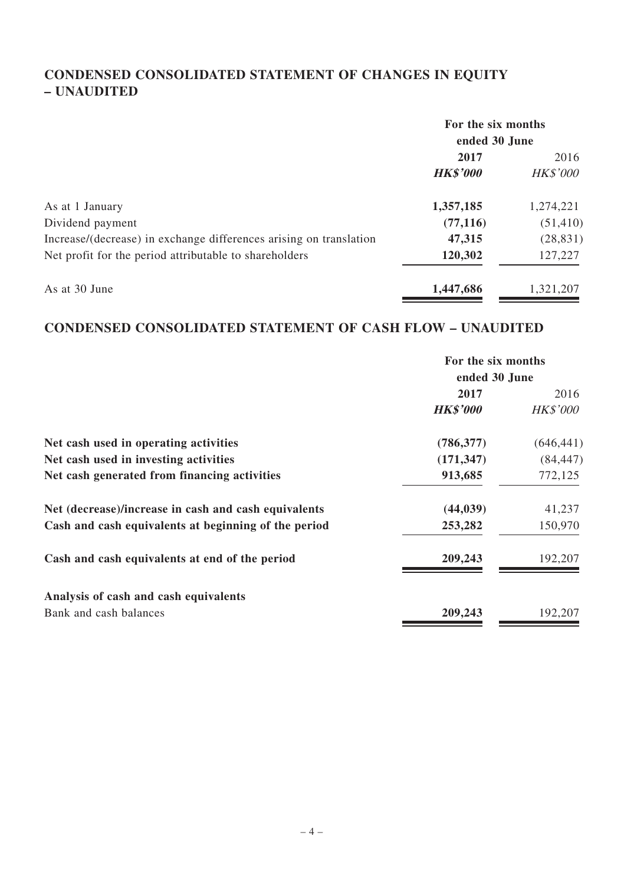# **CONDENSED CONSOLIDATED STATEMENT OF CHANGES IN EQUITY – UNAUDITED**

|                                                                    | For the six months<br>ended 30 June |                 |
|--------------------------------------------------------------------|-------------------------------------|-----------------|
|                                                                    |                                     |                 |
|                                                                    | 2017                                | 2016            |
|                                                                    | <b>HK\$'000</b>                     | <b>HK\$'000</b> |
| As at 1 January                                                    | 1,357,185                           | 1,274,221       |
| Dividend payment                                                   | (77, 116)                           | (51, 410)       |
| Increase/(decrease) in exchange differences arising on translation | 47,315                              | (28, 831)       |
| Net profit for the period attributable to shareholders             | 120,302                             | 127,227         |
| As at 30 June                                                      | 1,447,686                           | 1,321,207       |

# **CONDENSED CONSOLIDATED STATEMENT OF CASH FLOW – UNAUDITED**

|                                                      | For the six months<br>ended 30 June |                 |
|------------------------------------------------------|-------------------------------------|-----------------|
|                                                      | 2017                                | 2016            |
|                                                      | <b>HK\$'000</b>                     | <b>HK\$'000</b> |
| Net cash used in operating activities                | (786, 377)                          | (646, 441)      |
| Net cash used in investing activities                | (171, 347)                          | (84, 447)       |
| Net cash generated from financing activities         | 913,685                             | 772,125         |
| Net (decrease)/increase in cash and cash equivalents | (44, 039)                           | 41,237          |
| Cash and cash equivalents at beginning of the period | 253,282                             | 150,970         |
| Cash and cash equivalents at end of the period       | 209,243                             | 192,207         |
| Analysis of cash and cash equivalents                |                                     |                 |
| Bank and cash balances                               | 209,243                             | 192,207         |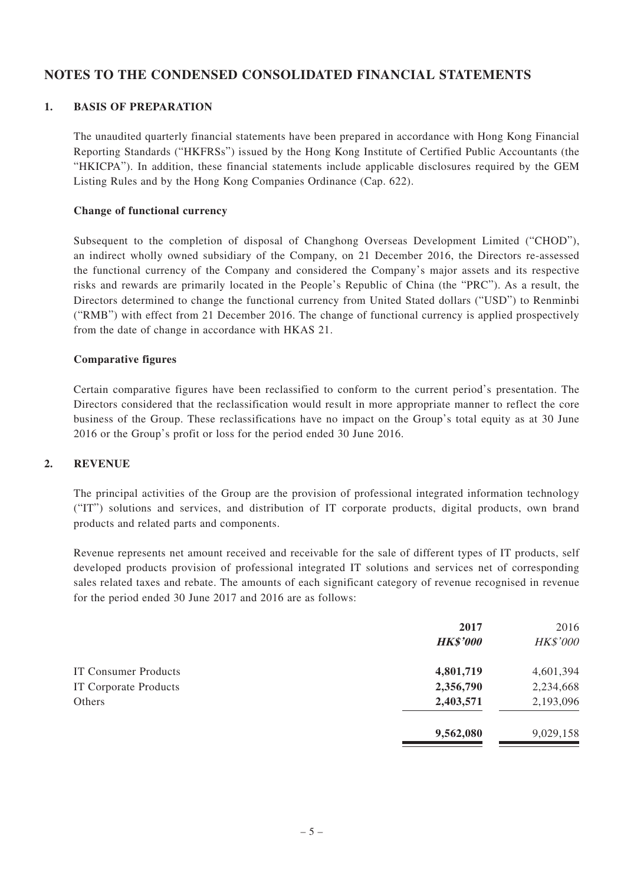### **NOTES TO THE CONDENSED CONSOLIDATED FINANCIAL STATEMENTS**

#### **1. BASIS OF PREPARATION**

The unaudited quarterly financial statements have been prepared in accordance with Hong Kong Financial Reporting Standards ("HKFRSs") issued by the Hong Kong Institute of Certified Public Accountants (the "HKICPA"). In addition, these financial statements include applicable disclosures required by the GEM Listing Rules and by the Hong Kong Companies Ordinance (Cap. 622).

#### **Change of functional currency**

Subsequent to the completion of disposal of Changhong Overseas Development Limited ("CHOD"), an indirect wholly owned subsidiary of the Company, on 21 December 2016, the Directors re-assessed the functional currency of the Company and considered the Company's major assets and its respective risks and rewards are primarily located in the People's Republic of China (the "PRC"). As a result, the Directors determined to change the functional currency from United Stated dollars ("USD") to Renminbi ("RMB") with effect from 21 December 2016. The change of functional currency is applied prospectively from the date of change in accordance with HKAS 21.

#### **Comparative figures**

Certain comparative figures have been reclassified to conform to the current period's presentation. The Directors considered that the reclassification would result in more appropriate manner to reflect the core business of the Group. These reclassifications have no impact on the Group's total equity as at 30 June 2016 or the Group's profit or loss for the period ended 30 June 2016.

#### **2. REVENUE**

The principal activities of the Group are the provision of professional integrated information technology ("IT") solutions and services, and distribution of IT corporate products, digital products, own brand products and related parts and components.

Revenue represents net amount received and receivable for the sale of different types of IT products, self developed products provision of professional integrated IT solutions and services net of corresponding sales related taxes and rebate. The amounts of each significant category of revenue recognised in revenue for the period ended 30 June 2017 and 2016 are as follows:

|                       | 2017<br><b>HK\$'000</b> | 2016<br><b>HK\$'000</b> |
|-----------------------|-------------------------|-------------------------|
| IT Consumer Products  | 4,801,719               | 4,601,394               |
| IT Corporate Products | 2,356,790               | 2,234,668               |
| Others                | 2,403,571               | 2,193,096               |
|                       | 9,562,080               | 9,029,158               |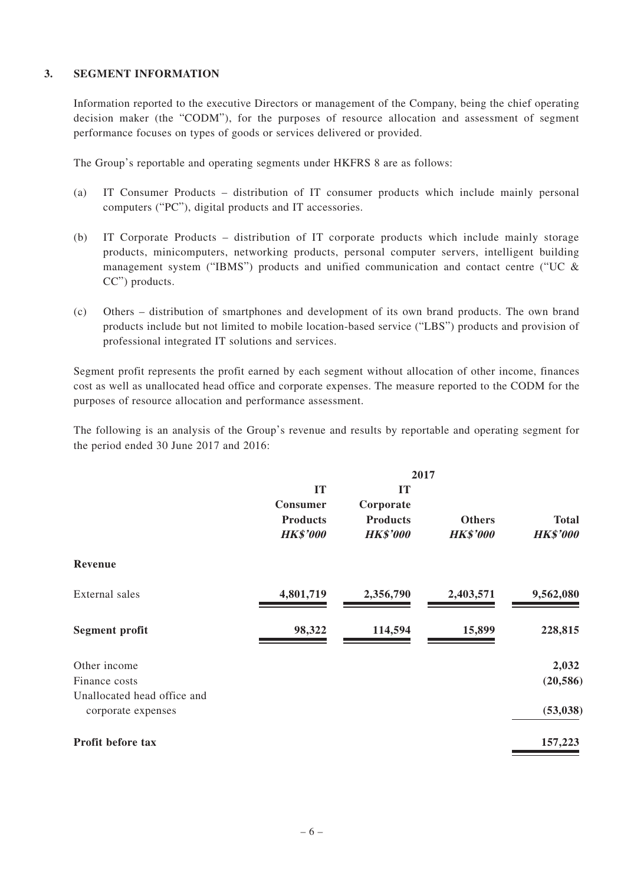#### **3. SEGMENT INFORMATION**

Information reported to the executive Directors or management of the Company, being the chief operating decision maker (the "CODM"), for the purposes of resource allocation and assessment of segment performance focuses on types of goods or services delivered or provided.

The Group's reportable and operating segments under HKFRS 8 are as follows:

- (a) IT Consumer Products distribution of IT consumer products which include mainly personal computers ("PC"), digital products and IT accessories.
- (b) IT Corporate Products distribution of IT corporate products which include mainly storage products, minicomputers, networking products, personal computer servers, intelligent building management system ("IBMS") products and unified communication and contact centre ("UC  $\&$ CC") products.
- (c) Others distribution of smartphones and development of its own brand products. The own brand products include but not limited to mobile location-based service ("LBS") products and provision of professional integrated IT solutions and services.

Segment profit represents the profit earned by each segment without allocation of other income, finances cost as well as unallocated head office and corporate expenses. The measure reported to the CODM for the purposes of resource allocation and performance assessment.

The following is an analysis of the Group's revenue and results by reportable and operating segment for the period ended 30 June 2017 and 2016:

|                                                   | 2017                                                 |                                                       |                                  |                                 |
|---------------------------------------------------|------------------------------------------------------|-------------------------------------------------------|----------------------------------|---------------------------------|
|                                                   | IT<br>Consumer<br><b>Products</b><br><b>HK\$'000</b> | IT<br>Corporate<br><b>Products</b><br><b>HK\$'000</b> | <b>Others</b><br><b>HK\$'000</b> | <b>Total</b><br><b>HK\$'000</b> |
| Revenue                                           |                                                      |                                                       |                                  |                                 |
| External sales                                    | 4,801,719                                            | 2,356,790                                             | 2,403,571                        | 9,562,080                       |
| Segment profit                                    | 98,322                                               | 114,594                                               | 15,899                           | 228,815                         |
| Other income                                      |                                                      |                                                       |                                  | 2,032                           |
| Finance costs                                     |                                                      |                                                       |                                  | (20, 586)                       |
| Unallocated head office and<br>corporate expenses |                                                      |                                                       |                                  | (53, 038)                       |
| Profit before tax                                 |                                                      |                                                       |                                  | 157,223                         |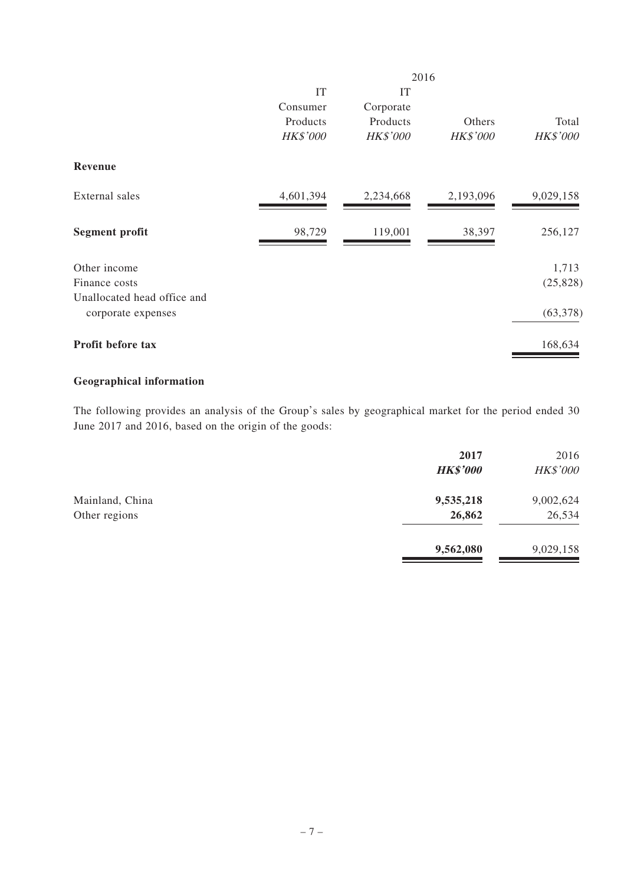|                             |           |                 | 2016            |                 |
|-----------------------------|-----------|-----------------|-----------------|-----------------|
|                             | IT        | IT              |                 |                 |
|                             | Consumer  | Corporate       |                 |                 |
|                             | Products  | Products        | Others          | Total           |
|                             | HK\$'000  | <b>HK\$'000</b> | <b>HK\$'000</b> | <b>HK\$'000</b> |
| Revenue                     |           |                 |                 |                 |
| External sales              | 4,601,394 | 2,234,668       | 2,193,096       | 9,029,158       |
| Segment profit              | 98,729    | 119,001         | 38,397          | 256,127         |
| Other income                |           |                 |                 | 1,713           |
| Finance costs               |           |                 |                 | (25, 828)       |
| Unallocated head office and |           |                 |                 |                 |
| corporate expenses          |           |                 |                 | (63, 378)       |
| Profit before tax           |           |                 |                 | 168,634         |
|                             |           |                 |                 |                 |

# **Geographical information**

The following provides an analysis of the Group's sales by geographical market for the period ended 30 June 2017 and 2016, based on the origin of the goods:

|                 | 2017<br><b>HK\$'000</b> | 2016<br><b>HK\$'000</b> |
|-----------------|-------------------------|-------------------------|
| Mainland, China | 9,535,218               | 9,002,624               |
| Other regions   | 26,862                  | 26,534                  |
|                 | 9,562,080               | 9,029,158               |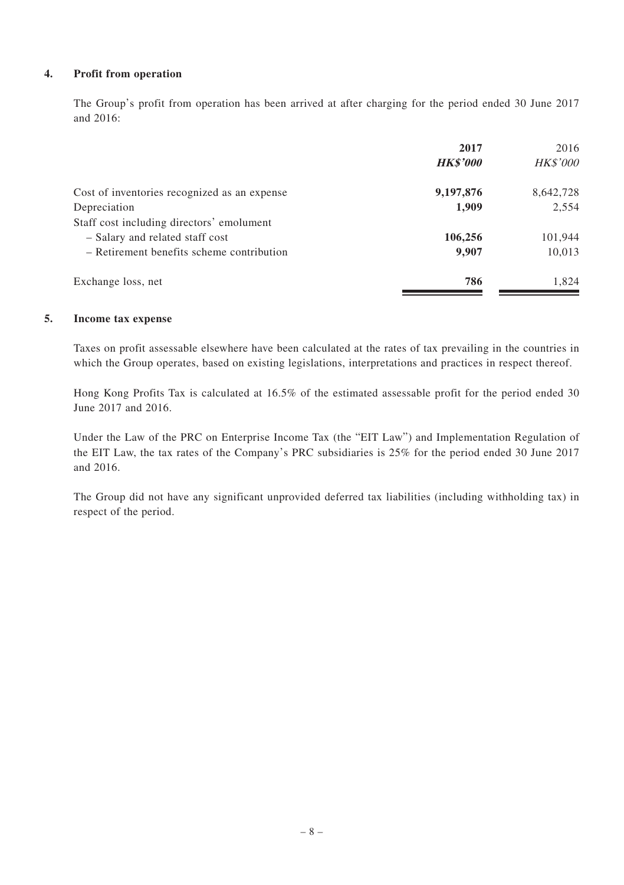#### **4. Profit from operation**

The Group's profit from operation has been arrived at after charging for the period ended 30 June 2017 and 2016:

|                                              | 2017            | 2016            |
|----------------------------------------------|-----------------|-----------------|
|                                              | <b>HK\$'000</b> | <b>HK\$'000</b> |
| Cost of inventories recognized as an expense | 9,197,876       | 8,642,728       |
| Depreciation                                 | 1,909           | 2,554           |
| Staff cost including directors' emolument    |                 |                 |
| - Salary and related staff cost              | 106,256         | 101,944         |
| - Retirement benefits scheme contribution    | 9.907           | 10,013          |
| Exchange loss, net                           | 786             | 1.824           |
|                                              |                 |                 |

#### **5. Income tax expense**

Taxes on profit assessable elsewhere have been calculated at the rates of tax prevailing in the countries in which the Group operates, based on existing legislations, interpretations and practices in respect thereof.

Hong Kong Profits Tax is calculated at 16.5% of the estimated assessable profit for the period ended 30 June 2017 and 2016.

Under the Law of the PRC on Enterprise Income Tax (the "EIT Law") and Implementation Regulation of the EIT Law, the tax rates of the Company's PRC subsidiaries is 25% for the period ended 30 June 2017 and 2016.

The Group did not have any significant unprovided deferred tax liabilities (including withholding tax) in respect of the period.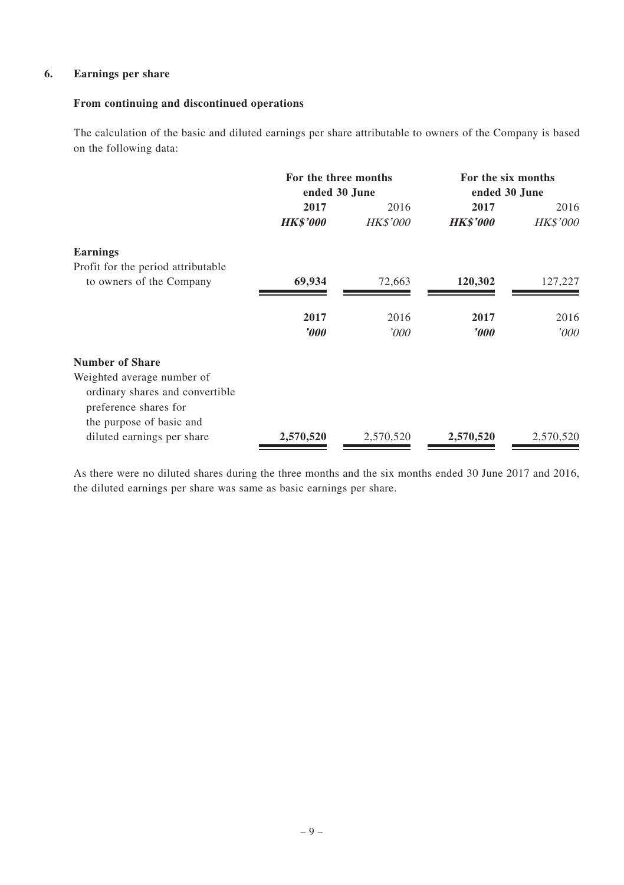#### **6. Earnings per share**

#### **From continuing and discontinued operations**

The calculation of the basic and diluted earnings per share attributable to owners of the Company is based on the following data:

|                                    | For the three months<br>ended 30 June |                 | For the six months<br>ended 30 June |                 |
|------------------------------------|---------------------------------------|-----------------|-------------------------------------|-----------------|
|                                    | 2017                                  | 2016            | 2017                                | 2016            |
|                                    | <b>HK\$'000</b>                       | <b>HK\$'000</b> | <b>HK\$'000</b>                     | <b>HK\$'000</b> |
| <b>Earnings</b>                    |                                       |                 |                                     |                 |
| Profit for the period attributable |                                       |                 |                                     |                 |
| to owners of the Company           | 69,934                                | 72,663          | 120,302                             | 127,227         |
|                                    | 2017                                  | 2016            | 2017                                | 2016            |
|                                    | $\boldsymbol{v}$                      | '000            | $\boldsymbol{\delta}$               | '000'           |
| <b>Number of Share</b>             |                                       |                 |                                     |                 |
| Weighted average number of         |                                       |                 |                                     |                 |
| ordinary shares and convertible    |                                       |                 |                                     |                 |
| preference shares for              |                                       |                 |                                     |                 |
| the purpose of basic and           |                                       |                 |                                     |                 |
| diluted earnings per share         | 2,570,520                             | 2,570,520       | 2,570,520                           | 2,570,520       |

As there were no diluted shares during the three months and the six months ended 30 June 2017 and 2016, the diluted earnings per share was same as basic earnings per share.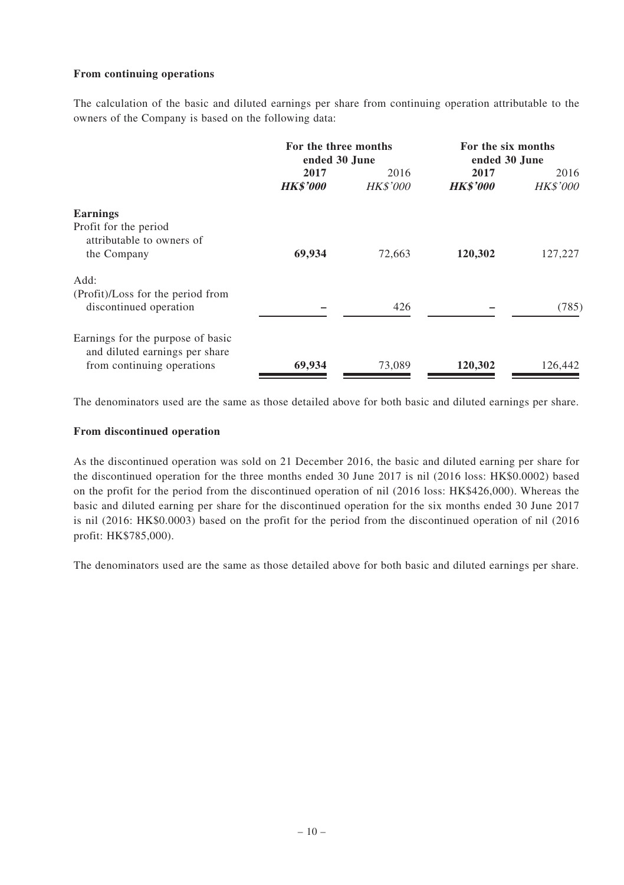#### **From continuing operations**

The calculation of the basic and diluted earnings per share from continuing operation attributable to the owners of the Company is based on the following data:

|                                   | For the three months<br>ended 30 June |                 | For the six months<br>ended 30 June |                 |
|-----------------------------------|---------------------------------------|-----------------|-------------------------------------|-----------------|
|                                   | 2017                                  | 2016            | 2017                                | 2016            |
|                                   | <b>HK\$'000</b>                       | <b>HK\$'000</b> | <b>HK\$'000</b>                     | <b>HK\$'000</b> |
| <b>Earnings</b>                   |                                       |                 |                                     |                 |
| Profit for the period             |                                       |                 |                                     |                 |
| attributable to owners of         |                                       |                 |                                     |                 |
| the Company                       | 69,934                                | 72.663          | 120,302                             | 127,227         |
| Add:                              |                                       |                 |                                     |                 |
| (Profit)/Loss for the period from |                                       |                 |                                     |                 |
| discontinued operation            |                                       | 426             |                                     | (785)           |
| Earnings for the purpose of basic |                                       |                 |                                     |                 |
| and diluted earnings per share    |                                       |                 |                                     |                 |
| from continuing operations        | 69,934                                | 73,089          | 120,302                             | 126,442         |

The denominators used are the same as those detailed above for both basic and diluted earnings per share.

#### **From discontinued operation**

As the discontinued operation was sold on 21 December 2016, the basic and diluted earning per share for the discontinued operation for the three months ended 30 June 2017 is nil (2016 loss: HK\$0.0002) based on the profit for the period from the discontinued operation of nil (2016 loss: HK\$426,000). Whereas the basic and diluted earning per share for the discontinued operation for the six months ended 30 June 2017 is nil (2016: HK\$0.0003) based on the profit for the period from the discontinued operation of nil (2016 profit: HK\$785,000).

The denominators used are the same as those detailed above for both basic and diluted earnings per share.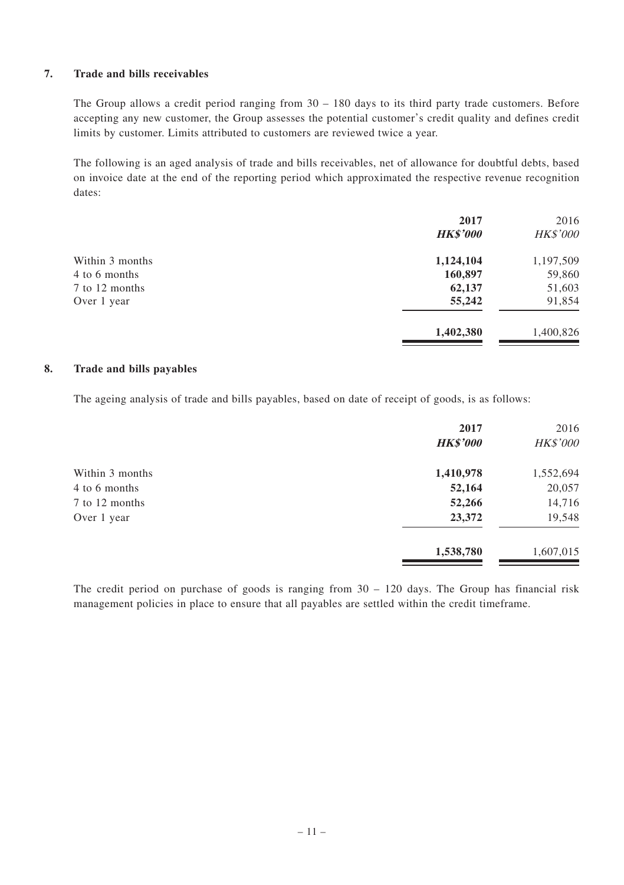#### **7. Trade and bills receivables**

The Group allows a credit period ranging from  $30 - 180$  days to its third party trade customers. Before accepting any new customer, the Group assesses the potential customer's credit quality and defines credit limits by customer. Limits attributed to customers are reviewed twice a year.

The following is an aged analysis of trade and bills receivables, net of allowance for doubtful debts, based on invoice date at the end of the reporting period which approximated the respective revenue recognition dates:

|                 | 2017            | 2016            |
|-----------------|-----------------|-----------------|
|                 | <b>HK\$'000</b> | <b>HK\$'000</b> |
| Within 3 months | 1,124,104       | 1,197,509       |
| 4 to 6 months   | 160,897         | 59,860          |
| 7 to 12 months  | 62,137          | 51,603          |
| Over 1 year     | 55,242          | 91,854          |
|                 | 1,402,380       | 1,400,826       |

#### **8. Trade and bills payables**

The ageing analysis of trade and bills payables, based on date of receipt of goods, is as follows:

| 2017            | 2016            |
|-----------------|-----------------|
| <b>HK\$'000</b> | <b>HK\$'000</b> |
| 1,410,978       | 1,552,694       |
| 52,164          | 20,057          |
| 52,266          | 14,716          |
| 23,372          | 19,548          |
| 1,538,780       | 1,607,015       |
|                 |                 |

The credit period on purchase of goods is ranging from 30 – 120 days. The Group has financial risk management policies in place to ensure that all payables are settled within the credit timeframe.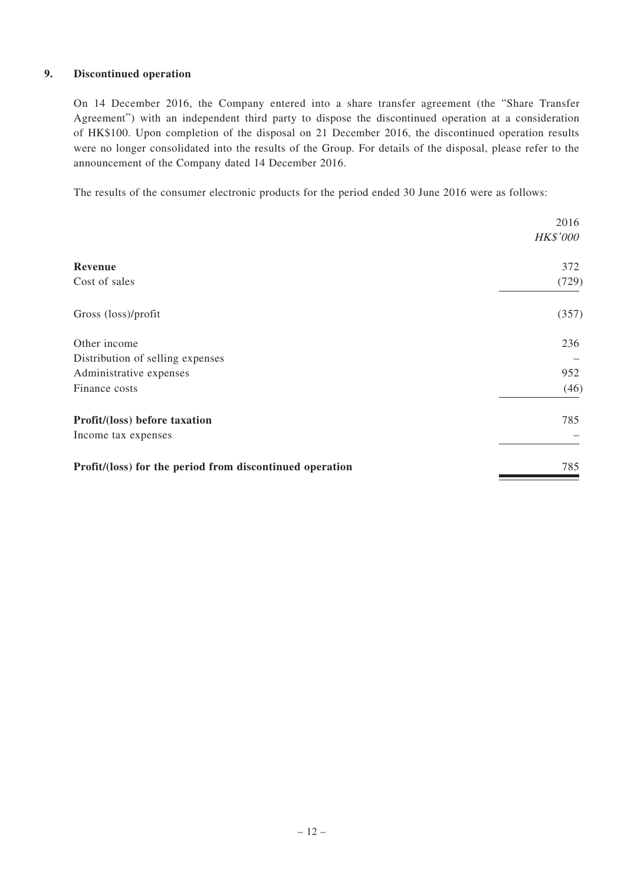#### **9. Discontinued operation**

On 14 December 2016, the Company entered into a share transfer agreement (the "Share Transfer Agreement") with an independent third party to dispose the discontinued operation at a consideration of HK\$100. Upon completion of the disposal on 21 December 2016, the discontinued operation results were no longer consolidated into the results of the Group. For details of the disposal, please refer to the announcement of the Company dated 14 December 2016.

The results of the consumer electronic products for the period ended 30 June 2016 were as follows:

|                                                          | 2016            |
|----------------------------------------------------------|-----------------|
|                                                          | <b>HK\$'000</b> |
| Revenue                                                  | 372             |
| Cost of sales                                            | (729)           |
| Gross (loss)/profit                                      | (357)           |
| Other income                                             | 236             |
| Distribution of selling expenses                         |                 |
| Administrative expenses                                  | 952             |
| Finance costs                                            | (46)            |
| Profit/(loss) before taxation                            | 785             |
| Income tax expenses                                      |                 |
| Profit/(loss) for the period from discontinued operation | 785             |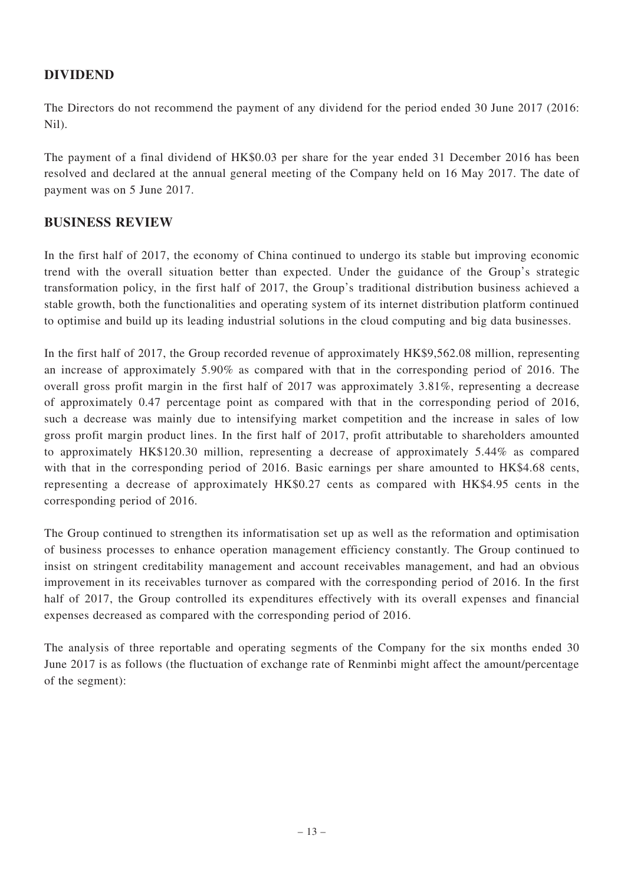# **DIVIDEND**

The Directors do not recommend the payment of any dividend for the period ended 30 June 2017 (2016: Nil).

The payment of a final dividend of HK\$0.03 per share for the year ended 31 December 2016 has been resolved and declared at the annual general meeting of the Company held on 16 May 2017. The date of payment was on 5 June 2017.

# **BUSINESS REVIEW**

In the first half of 2017, the economy of China continued to undergo its stable but improving economic trend with the overall situation better than expected. Under the guidance of the Group's strategic transformation policy, in the first half of 2017, the Group's traditional distribution business achieved a stable growth, both the functionalities and operating system of its internet distribution platform continued to optimise and build up its leading industrial solutions in the cloud computing and big data businesses.

In the first half of 2017, the Group recorded revenue of approximately HK\$9,562.08 million, representing an increase of approximately 5.90% as compared with that in the corresponding period of 2016. The overall gross profit margin in the first half of 2017 was approximately 3.81%, representing a decrease of approximately 0.47 percentage point as compared with that in the corresponding period of 2016, such a decrease was mainly due to intensifying market competition and the increase in sales of low gross profit margin product lines. In the first half of 2017, profit attributable to shareholders amounted to approximately HK\$120.30 million, representing a decrease of approximately 5.44% as compared with that in the corresponding period of 2016. Basic earnings per share amounted to HK\$4.68 cents, representing a decrease of approximately HK\$0.27 cents as compared with HK\$4.95 cents in the corresponding period of 2016.

The Group continued to strengthen its informatisation set up as well as the reformation and optimisation of business processes to enhance operation management efficiency constantly. The Group continued to insist on stringent creditability management and account receivables management, and had an obvious improvement in its receivables turnover as compared with the corresponding period of 2016. In the first half of 2017, the Group controlled its expenditures effectively with its overall expenses and financial expenses decreased as compared with the corresponding period of 2016.

The analysis of three reportable and operating segments of the Company for the six months ended 30 June 2017 is as follows (the fluctuation of exchange rate of Renminbi might affect the amount/percentage of the segment):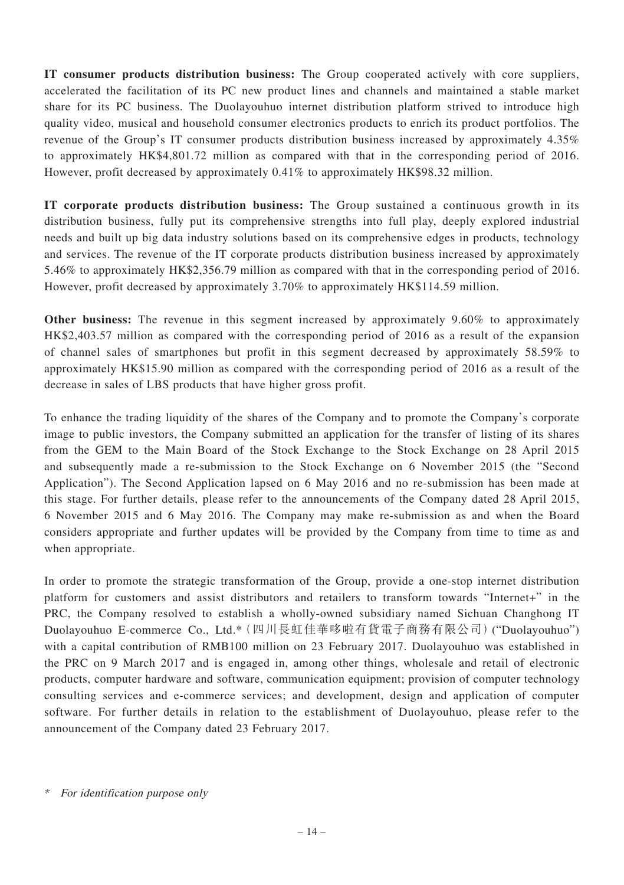**IT consumer products distribution business:** The Group cooperated actively with core suppliers, accelerated the facilitation of its PC new product lines and channels and maintained a stable market share for its PC business. The Duolayouhuo internet distribution platform strived to introduce high quality video, musical and household consumer electronics products to enrich its product portfolios. The revenue of the Group's IT consumer products distribution business increased by approximately 4.35% to approximately HK\$4,801.72 million as compared with that in the corresponding period of 2016. However, profit decreased by approximately 0.41% to approximately HK\$98.32 million.

**IT corporate products distribution business:** The Group sustained a continuous growth in its distribution business, fully put its comprehensive strengths into full play, deeply explored industrial needs and built up big data industry solutions based on its comprehensive edges in products, technology and services. The revenue of the IT corporate products distribution business increased by approximately 5.46% to approximately HK\$2,356.79 million as compared with that in the corresponding period of 2016. However, profit decreased by approximately 3.70% to approximately HK\$114.59 million.

**Other business:** The revenue in this segment increased by approximately 9.60% to approximately HK\$2,403.57 million as compared with the corresponding period of 2016 as a result of the expansion of channel sales of smartphones but profit in this segment decreased by approximately 58.59% to approximately HK\$15.90 million as compared with the corresponding period of 2016 as a result of the decrease in sales of LBS products that have higher gross profit.

To enhance the trading liquidity of the shares of the Company and to promote the Company's corporate image to public investors, the Company submitted an application for the transfer of listing of its shares from the GEM to the Main Board of the Stock Exchange to the Stock Exchange on 28 April 2015 and subsequently made a re-submission to the Stock Exchange on 6 November 2015 (the "Second Application"). The Second Application lapsed on 6 May 2016 and no re-submission has been made at this stage. For further details, please refer to the announcements of the Company dated 28 April 2015, 6 November 2015 and 6 May 2016. The Company may make re-submission as and when the Board considers appropriate and further updates will be provided by the Company from time to time as and when appropriate.

In order to promote the strategic transformation of the Group, provide a one-stop internet distribution platform for customers and assist distributors and retailers to transform towards "Internet+" in the PRC, the Company resolved to establish a wholly-owned subsidiary named Sichuan Changhong IT Duolayouhuo E-commerce Co., Ltd.\*(四川長虹佳華哆啦有貨電子商務有限公司)("Duolayouhuo") with a capital contribution of RMB100 million on 23 February 2017. Duolayouhuo was established in the PRC on 9 March 2017 and is engaged in, among other things, wholesale and retail of electronic products, computer hardware and software, communication equipment; provision of computer technology consulting services and e-commerce services; and development, design and application of computer software. For further details in relation to the establishment of Duolayouhuo, please refer to the announcement of the Company dated 23 February 2017.

<sup>\*</sup> For identification purpose only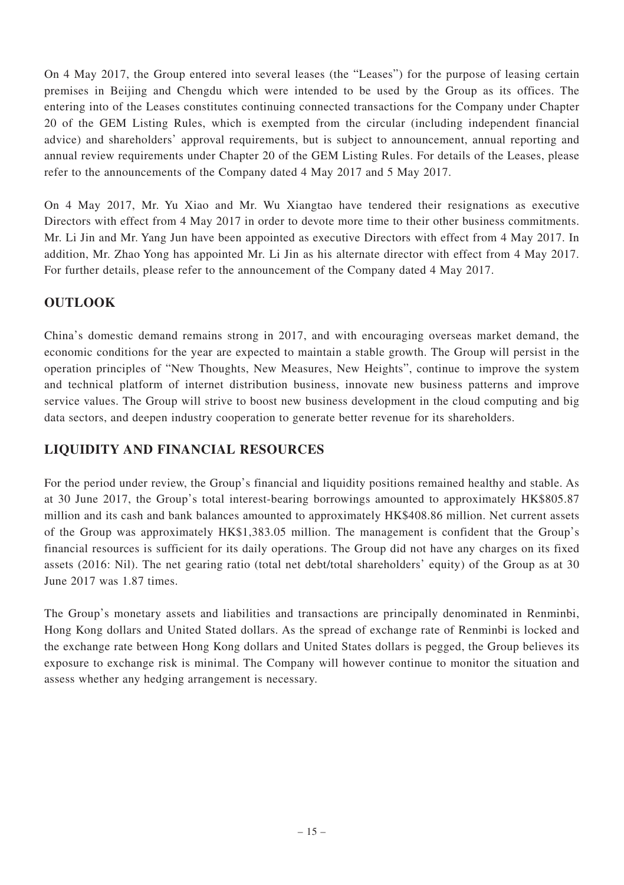On 4 May 2017, the Group entered into several leases (the "Leases") for the purpose of leasing certain premises in Beijing and Chengdu which were intended to be used by the Group as its offices. The entering into of the Leases constitutes continuing connected transactions for the Company under Chapter 20 of the GEM Listing Rules, which is exempted from the circular (including independent financial advice) and shareholders' approval requirements, but is subject to announcement, annual reporting and annual review requirements under Chapter 20 of the GEM Listing Rules. For details of the Leases, please refer to the announcements of the Company dated 4 May 2017 and 5 May 2017.

On 4 May 2017, Mr. Yu Xiao and Mr. Wu Xiangtao have tendered their resignations as executive Directors with effect from 4 May 2017 in order to devote more time to their other business commitments. Mr. Li Jin and Mr. Yang Jun have been appointed as executive Directors with effect from 4 May 2017. In addition, Mr. Zhao Yong has appointed Mr. Li Jin as his alternate director with effect from 4 May 2017. For further details, please refer to the announcement of the Company dated 4 May 2017.

# **OUTLOOK**

China's domestic demand remains strong in 2017, and with encouraging overseas market demand, the economic conditions for the year are expected to maintain a stable growth. The Group will persist in the operation principles of "New Thoughts, New Measures, New Heights", continue to improve the system and technical platform of internet distribution business, innovate new business patterns and improve service values. The Group will strive to boost new business development in the cloud computing and big data sectors, and deepen industry cooperation to generate better revenue for its shareholders.

# **LIQUIDITY AND FINANCIAL RESOURCES**

For the period under review, the Group's financial and liquidity positions remained healthy and stable. As at 30 June 2017, the Group's total interest-bearing borrowings amounted to approximately HK\$805.87 million and its cash and bank balances amounted to approximately HK\$408.86 million. Net current assets of the Group was approximately HK\$1,383.05 million. The management is confident that the Group's financial resources is sufficient for its daily operations. The Group did not have any charges on its fixed assets (2016: Nil). The net gearing ratio (total net debt/total shareholders' equity) of the Group as at 30 June 2017 was 1.87 times.

The Group's monetary assets and liabilities and transactions are principally denominated in Renminbi, Hong Kong dollars and United Stated dollars. As the spread of exchange rate of Renminbi is locked and the exchange rate between Hong Kong dollars and United States dollars is pegged, the Group believes its exposure to exchange risk is minimal. The Company will however continue to monitor the situation and assess whether any hedging arrangement is necessary.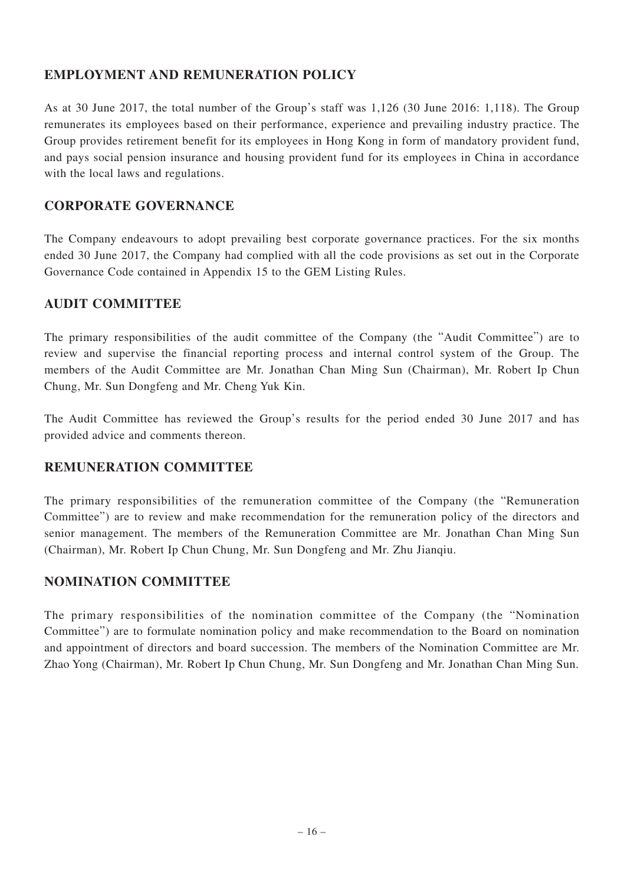# **EMPLOYMENT AND REMUNERATION POLICY**

As at 30 June 2017, the total number of the Group's staff was 1,126 (30 June 2016: 1,118). The Group remunerates its employees based on their performance, experience and prevailing industry practice. The Group provides retirement benefit for its employees in Hong Kong in form of mandatory provident fund, and pays social pension insurance and housing provident fund for its employees in China in accordance with the local laws and regulations.

## **CORPORATE GOVERNANCE**

The Company endeavours to adopt prevailing best corporate governance practices. For the six months ended 30 June 2017, the Company had complied with all the code provisions as set out in the Corporate Governance Code contained in Appendix 15 to the GEM Listing Rules.

### **AUDIT COMMITTEE**

The primary responsibilities of the audit committee of the Company (the "Audit Committee") are to review and supervise the financial reporting process and internal control system of the Group. The members of the Audit Committee are Mr. Jonathan Chan Ming Sun (Chairman), Mr. Robert Ip Chun Chung, Mr. Sun Dongfeng and Mr. Cheng Yuk Kin.

The Audit Committee has reviewed the Group's results for the period ended 30 June 2017 and has provided advice and comments thereon.

### **REMUNERATION COMMITTEE**

The primary responsibilities of the remuneration committee of the Company (the "Remuneration Committee") are to review and make recommendation for the remuneration policy of the directors and senior management. The members of the Remuneration Committee are Mr. Jonathan Chan Ming Sun (Chairman), Mr. Robert Ip Chun Chung, Mr. Sun Dongfeng and Mr. Zhu Jianqiu.

# **NOMINATION COMMITTEE**

The primary responsibilities of the nomination committee of the Company (the "Nomination Committee") are to formulate nomination policy and make recommendation to the Board on nomination and appointment of directors and board succession. The members of the Nomination Committee are Mr. Zhao Yong (Chairman), Mr. Robert Ip Chun Chung, Mr. Sun Dongfeng and Mr. Jonathan Chan Ming Sun.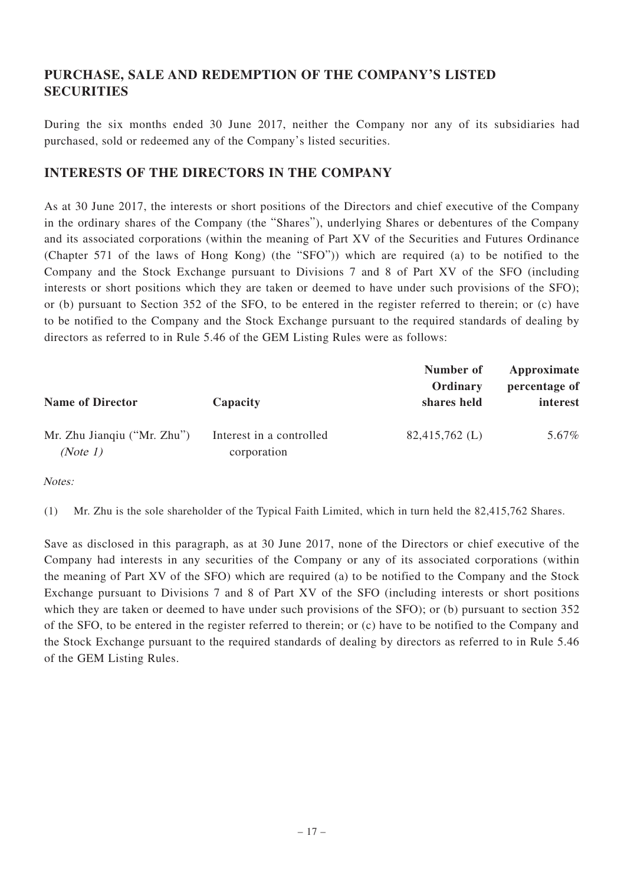# **PURCHASE, SALE AND REDEMPTION OF THE COMPANY'S LISTED SECURITIES**

During the six months ended 30 June 2017, neither the Company nor any of its subsidiaries had purchased, sold or redeemed any of the Company's listed securities.

## **INTERESTS OF THE DIRECTORS IN THE COMPANY**

As at 30 June 2017, the interests or short positions of the Directors and chief executive of the Company in the ordinary shares of the Company (the "Shares"), underlying Shares or debentures of the Company and its associated corporations (within the meaning of Part XV of the Securities and Futures Ordinance (Chapter 571 of the laws of Hong Kong) (the "SFO")) which are required (a) to be notified to the Company and the Stock Exchange pursuant to Divisions 7 and 8 of Part XV of the SFO (including interests or short positions which they are taken or deemed to have under such provisions of the SFO); or (b) pursuant to Section 352 of the SFO, to be entered in the register referred to therein; or (c) have to be notified to the Company and the Stock Exchange pursuant to the required standards of dealing by directors as referred to in Rule 5.46 of the GEM Listing Rules were as follows:

| <b>Name of Director</b>                 | Capacity                                | Number of<br>Ordinary<br>shares held | Approximate<br>percentage of<br>interest |
|-----------------------------------------|-----------------------------------------|--------------------------------------|------------------------------------------|
| Mr. Zhu Jiangiu ("Mr. Zhu")<br>(Note 1) | Interest in a controlled<br>corporation | $82,415,762$ (L)                     | 5.67%                                    |

Notes:

(1) Mr. Zhu is the sole shareholder of the Typical Faith Limited, which in turn held the 82,415,762 Shares.

Save as disclosed in this paragraph, as at 30 June 2017, none of the Directors or chief executive of the Company had interests in any securities of the Company or any of its associated corporations (within the meaning of Part XV of the SFO) which are required (a) to be notified to the Company and the Stock Exchange pursuant to Divisions 7 and 8 of Part XV of the SFO (including interests or short positions which they are taken or deemed to have under such provisions of the SFO); or (b) pursuant to section 352 of the SFO, to be entered in the register referred to therein; or (c) have to be notified to the Company and the Stock Exchange pursuant to the required standards of dealing by directors as referred to in Rule 5.46 of the GEM Listing Rules.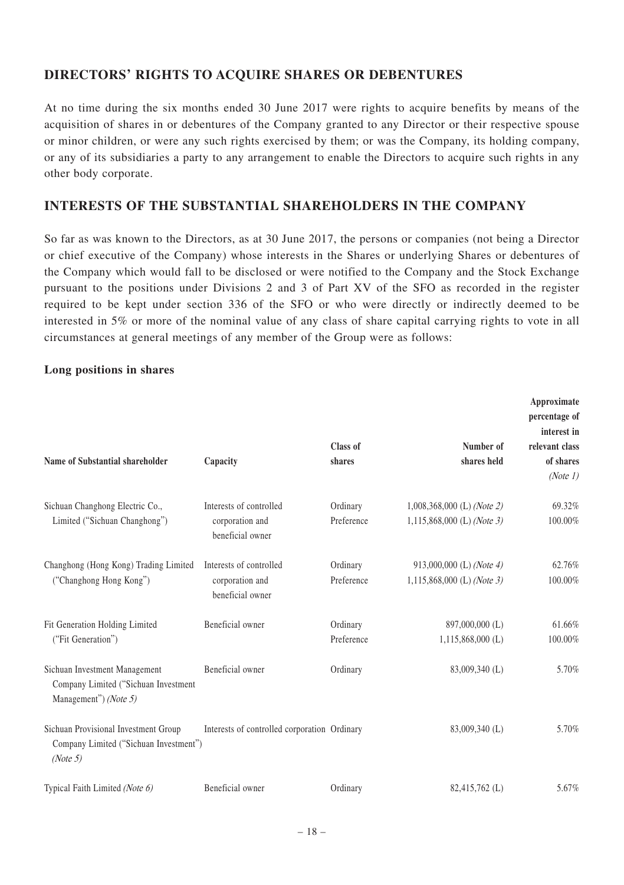## **DIRECTORS' RIGHTS TO ACQUIRE SHARES OR DEBENTURES**

At no time during the six months ended 30 June 2017 were rights to acquire benefits by means of the acquisition of shares in or debentures of the Company granted to any Director or their respective spouse or minor children, or were any such rights exercised by them; or was the Company, its holding company, or any of its subsidiaries a party to any arrangement to enable the Directors to acquire such rights in any other body corporate.

### **INTERESTS OF THE SUBSTANTIAL SHAREHOLDERS IN THE COMPANY**

So far as was known to the Directors, as at 30 June 2017, the persons or companies (not being a Director or chief executive of the Company) whose interests in the Shares or underlying Shares or debentures of the Company which would fall to be disclosed or were notified to the Company and the Stock Exchange pursuant to the positions under Divisions 2 and 3 of Part XV of the SFO as recorded in the register required to be kept under section 336 of the SFO or who were directly or indirectly deemed to be interested in 5% or more of the nominal value of any class of share capital carrying rights to vote in all circumstances at general meetings of any member of the Group were as follows:

#### **Long positions in shares**

| Name of Substantial shareholder                                                                | Capacity                                                       | Class of<br>shares     | Number of<br>shares held                                   | Approximate<br>percentage of<br>interest in<br>relevant class<br>of shares<br>(Note 1) |
|------------------------------------------------------------------------------------------------|----------------------------------------------------------------|------------------------|------------------------------------------------------------|----------------------------------------------------------------------------------------|
| Sichuan Changhong Electric Co.,<br>Limited ("Sichuan Changhong")                               | Interests of controlled<br>corporation and<br>beneficial owner | Ordinary<br>Preference | $1,008,368,000$ (L) (Note 2)<br>1,115,868,000 (L) (Note 3) | 69.32%<br>100.00%                                                                      |
| Changhong (Hong Kong) Trading Limited<br>("Changhong Hong Kong")                               | Interests of controlled<br>corporation and<br>beneficial owner | Ordinary<br>Preference | 913,000,000 (L) (Note 4)<br>1,115,868,000 (L) (Note 3)     | 62.76%<br>100.00%                                                                      |
| Fit Generation Holding Limited<br>("Fit Generation")                                           | Beneficial owner                                               | Ordinary<br>Preference | 897,000,000 (L)<br>$1,115,868,000$ (L)                     | 61.66%<br>100.00%                                                                      |
| Sichuan Investment Management<br>Company Limited ("Sichuan Investment<br>Management") (Note 5) | Beneficial owner                                               | Ordinary               | 83,009,340 (L)                                             | 5.70%                                                                                  |
| Sichuan Provisional Investment Group<br>Company Limited ("Sichuan Investment")<br>(Note 5)     | Interests of controlled corporation Ordinary                   |                        | 83,009,340 (L)                                             | 5.70%                                                                                  |
| Typical Faith Limited (Note 6)                                                                 | Beneficial owner                                               | Ordinary               | 82,415,762 (L)                                             | 5.67%                                                                                  |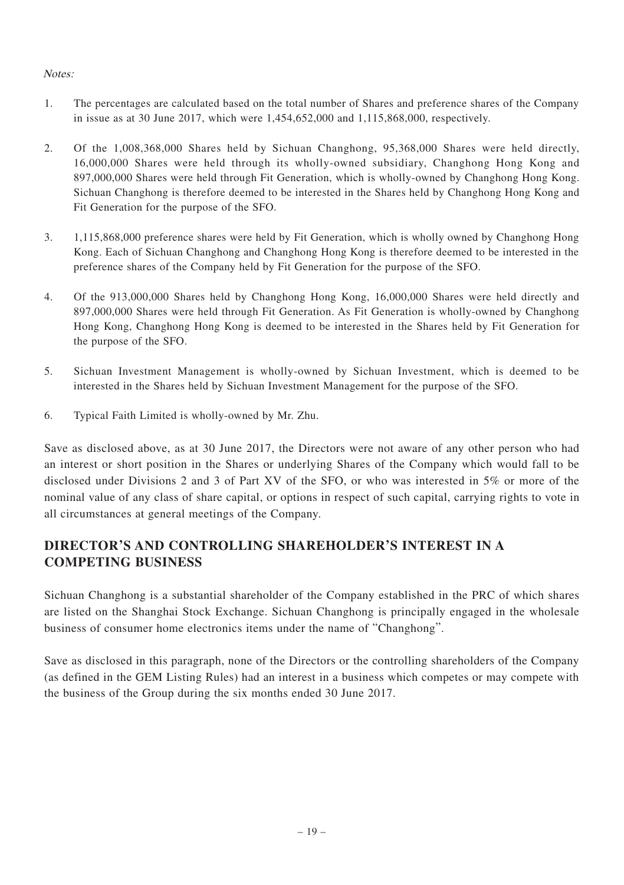#### Notes:

- 1. The percentages are calculated based on the total number of Shares and preference shares of the Company in issue as at 30 June 2017, which were  $1,454,652,000$  and  $1,115,868,000$ , respectively.
- 2. Of the 1,008,368,000 Shares held by Sichuan Changhong, 95,368,000 Shares were held directly, 16,000,000 Shares were held through its wholly-owned subsidiary, Changhong Hong Kong and 897,000,000 Shares were held through Fit Generation, which is wholly-owned by Changhong Hong Kong. Sichuan Changhong is therefore deemed to be interested in the Shares held by Changhong Hong Kong and Fit Generation for the purpose of the SFO.
- 3. 1,115,868,000 preference shares were held by Fit Generation, which is wholly owned by Changhong Hong Kong. Each of Sichuan Changhong and Changhong Hong Kong is therefore deemed to be interested in the preference shares of the Company held by Fit Generation for the purpose of the SFO.
- 4. Of the 913,000,000 Shares held by Changhong Hong Kong, 16,000,000 Shares were held directly and 897,000,000 Shares were held through Fit Generation. As Fit Generation is wholly-owned by Changhong Hong Kong, Changhong Hong Kong is deemed to be interested in the Shares held by Fit Generation for the purpose of the SFO.
- 5. Sichuan Investment Management is wholly-owned by Sichuan Investment, which is deemed to be interested in the Shares held by Sichuan Investment Management for the purpose of the SFO.
- 6. Typical Faith Limited is wholly-owned by Mr. Zhu.

Save as disclosed above, as at 30 June 2017, the Directors were not aware of any other person who had an interest or short position in the Shares or underlying Shares of the Company which would fall to be disclosed under Divisions 2 and 3 of Part XV of the SFO, or who was interested in 5% or more of the nominal value of any class of share capital, or options in respect of such capital, carrying rights to vote in all circumstances at general meetings of the Company.

# **DIRECTOR'S AND CONTROLLING SHAREHOLDER'S INTEREST IN A COMPETING BUSINESS**

Sichuan Changhong is a substantial shareholder of the Company established in the PRC of which shares are listed on the Shanghai Stock Exchange. Sichuan Changhong is principally engaged in the wholesale business of consumer home electronics items under the name of "Changhong".

Save as disclosed in this paragraph, none of the Directors or the controlling shareholders of the Company (as defined in the GEM Listing Rules) had an interest in a business which competes or may compete with the business of the Group during the six months ended 30 June 2017.